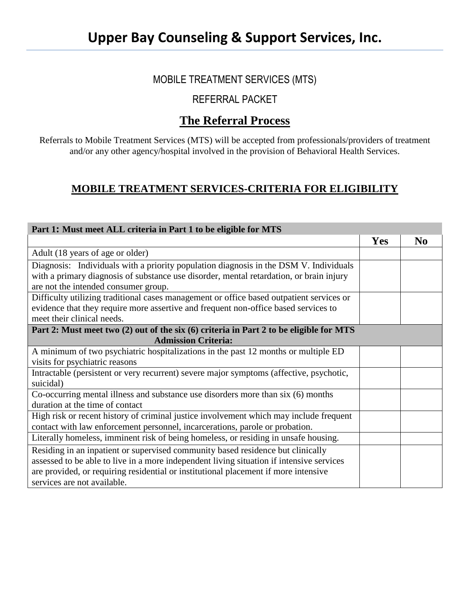## MOBILE TREATMENT SERVICES (MTS)

## REFERRAL PACKET

## **The Referral Process**

Referrals to Mobile Treatment Services (MTS) will be accepted from professionals/providers of treatment and/or any other agency/hospital involved in the provision of Behavioral Health Services.

## **MOBILE TREATMENT SERVICES-CRITERIA FOR ELIGIBILITY**

| Part 1: Must meet ALL criteria in Part 1 to be eligible for MTS                                                                                                                                                                                                                                   |            |                |
|---------------------------------------------------------------------------------------------------------------------------------------------------------------------------------------------------------------------------------------------------------------------------------------------------|------------|----------------|
|                                                                                                                                                                                                                                                                                                   | <b>Yes</b> | N <sub>0</sub> |
| Adult (18 years of age or older)                                                                                                                                                                                                                                                                  |            |                |
| Diagnosis: Individuals with a priority population diagnosis in the DSM V. Individuals<br>with a primary diagnosis of substance use disorder, mental retardation, or brain injury<br>are not the intended consumer group.                                                                          |            |                |
|                                                                                                                                                                                                                                                                                                   |            |                |
| Difficulty utilizing traditional cases management or office based outpatient services or<br>evidence that they require more assertive and frequent non-office based services to<br>meet their clinical needs.                                                                                     |            |                |
| Part 2: Must meet two (2) out of the six (6) criteria in Part 2 to be eligible for MTS                                                                                                                                                                                                            |            |                |
| <b>Admission Criteria:</b>                                                                                                                                                                                                                                                                        |            |                |
| A minimum of two psychiatric hospitalizations in the past 12 months or multiple ED                                                                                                                                                                                                                |            |                |
| visits for psychiatric reasons                                                                                                                                                                                                                                                                    |            |                |
| Intractable (persistent or very recurrent) severe major symptoms (affective, psychotic,<br>suicidal)                                                                                                                                                                                              |            |                |
| Co-occurring mental illness and substance use disorders more than six (6) months<br>duration at the time of contact                                                                                                                                                                               |            |                |
| High risk or recent history of criminal justice involvement which may include frequent<br>contact with law enforcement personnel, incarcerations, parole or probation.                                                                                                                            |            |                |
| Literally homeless, imminent risk of being homeless, or residing in unsafe housing.                                                                                                                                                                                                               |            |                |
| Residing in an inpatient or supervised community based residence but clinically<br>assessed to be able to live in a more independent living situation if intensive services<br>are provided, or requiring residential or institutional placement if more intensive<br>services are not available. |            |                |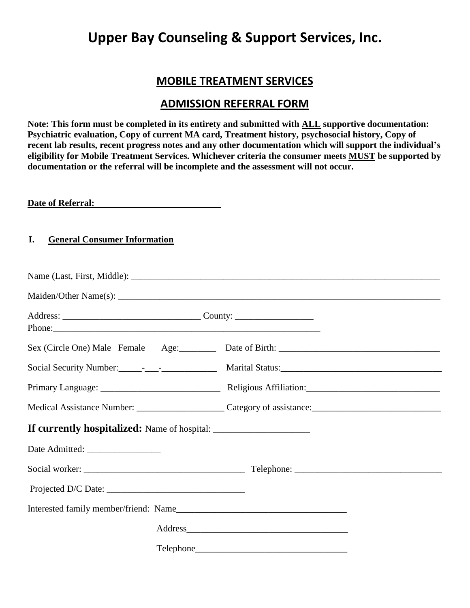## **MOBILE TREATMENT SERVICES**

## **ADMISSION REFERRAL FORM**

**Note: This form must be completed in its entirety and submitted with ALL supportive documentation: Psychiatric evaluation, Copy of current MA card, Treatment history, psychosocial history, Copy of recent lab results, recent progress notes and any other documentation which will support the individual's eligibility for Mobile Treatment Services. Whichever criteria the consumer meets MUST be supported by documentation or the referral will be incomplete and the assessment will not occur.**

**Date of Referral:**

### **I. General Consumer Information**

|                                                                                  | Sex (Circle One) Male Female Age: Date of Birth: ________________________________ |
|----------------------------------------------------------------------------------|-----------------------------------------------------------------------------------|
|                                                                                  |                                                                                   |
|                                                                                  |                                                                                   |
|                                                                                  |                                                                                   |
| If currently hospitalized: Name of hospital: ___________________________________ |                                                                                   |
|                                                                                  |                                                                                   |
|                                                                                  |                                                                                   |
|                                                                                  |                                                                                   |
|                                                                                  |                                                                                   |
|                                                                                  |                                                                                   |
|                                                                                  |                                                                                   |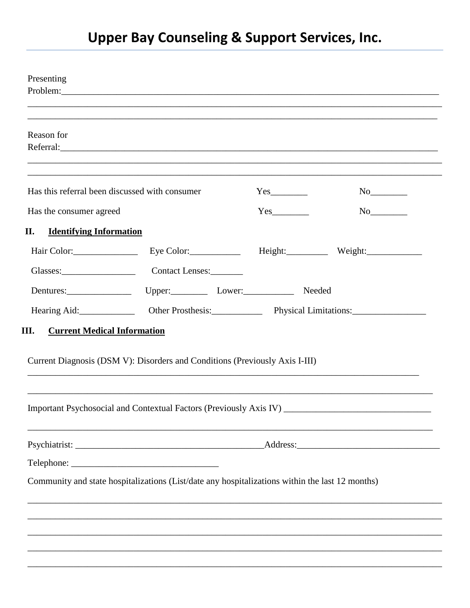| Reason for                                                                                                                                                                                  |  |  |
|---------------------------------------------------------------------------------------------------------------------------------------------------------------------------------------------|--|--|
| Has this referral been discussed with consumer                                                                                                                                              |  |  |
| Has the consumer agreed                                                                                                                                                                     |  |  |
| II.<br><b>Identifying Information</b>                                                                                                                                                       |  |  |
| Hair Color: Eye Color: Fight: Weight: Weight:                                                                                                                                               |  |  |
| Glasses: Contact Lenses:                                                                                                                                                                    |  |  |
| Dentures: Upper: Upper: Lower: Needed                                                                                                                                                       |  |  |
|                                                                                                                                                                                             |  |  |
| <b>Current Medical Information</b>                                                                                                                                                          |  |  |
| III.<br>Current Diagnosis (DSM V): Disorders and Conditions (Previously Axis I-III)<br>Important Psychosocial and Contextual Factors (Previously Axis IV) _________________________________ |  |  |
|                                                                                                                                                                                             |  |  |
|                                                                                                                                                                                             |  |  |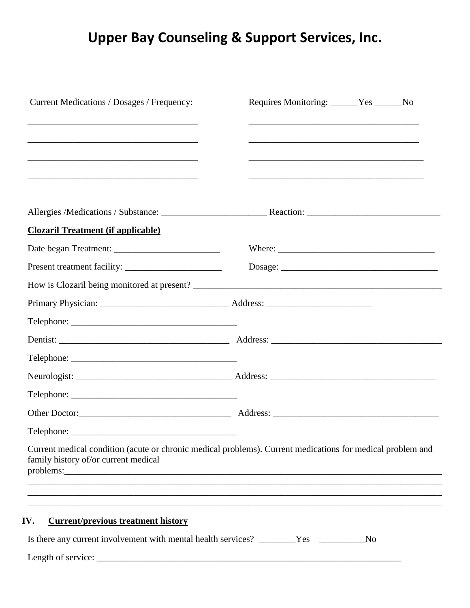| <b>Clozaril Treatment (if applicable)</b><br>$\text{Telephone:}\n \underline{\hspace{2cm}}$<br>Telephone:<br>Current medical condition (acute or chronic medical problems). Current medications for medical problem and<br>family history of/or current medical | and the control of the control of the control of the control of the control of the control of the control of the<br><u> 1989 - Johann Stoff, amerikansk politiker (d. 1989)</u> |  |
|-----------------------------------------------------------------------------------------------------------------------------------------------------------------------------------------------------------------------------------------------------------------|---------------------------------------------------------------------------------------------------------------------------------------------------------------------------------|--|
|                                                                                                                                                                                                                                                                 |                                                                                                                                                                                 |  |
|                                                                                                                                                                                                                                                                 |                                                                                                                                                                                 |  |
|                                                                                                                                                                                                                                                                 | <u> 1989 - Johann Stoff, amerikansk politiker (d. 1989)</u>                                                                                                                     |  |
|                                                                                                                                                                                                                                                                 |                                                                                                                                                                                 |  |
|                                                                                                                                                                                                                                                                 |                                                                                                                                                                                 |  |
|                                                                                                                                                                                                                                                                 |                                                                                                                                                                                 |  |
|                                                                                                                                                                                                                                                                 |                                                                                                                                                                                 |  |
|                                                                                                                                                                                                                                                                 |                                                                                                                                                                                 |  |
|                                                                                                                                                                                                                                                                 |                                                                                                                                                                                 |  |
|                                                                                                                                                                                                                                                                 |                                                                                                                                                                                 |  |
|                                                                                                                                                                                                                                                                 |                                                                                                                                                                                 |  |
|                                                                                                                                                                                                                                                                 |                                                                                                                                                                                 |  |
|                                                                                                                                                                                                                                                                 |                                                                                                                                                                                 |  |
|                                                                                                                                                                                                                                                                 |                                                                                                                                                                                 |  |
|                                                                                                                                                                                                                                                                 |                                                                                                                                                                                 |  |
|                                                                                                                                                                                                                                                                 |                                                                                                                                                                                 |  |
|                                                                                                                                                                                                                                                                 |                                                                                                                                                                                 |  |
|                                                                                                                                                                                                                                                                 |                                                                                                                                                                                 |  |
|                                                                                                                                                                                                                                                                 |                                                                                                                                                                                 |  |
|                                                                                                                                                                                                                                                                 |                                                                                                                                                                                 |  |
| <b>Current/previous treatment history</b><br>IV.                                                                                                                                                                                                                |                                                                                                                                                                                 |  |
| Is there any current involvement with mental health services? _______Yes ________                                                                                                                                                                               |                                                                                                                                                                                 |  |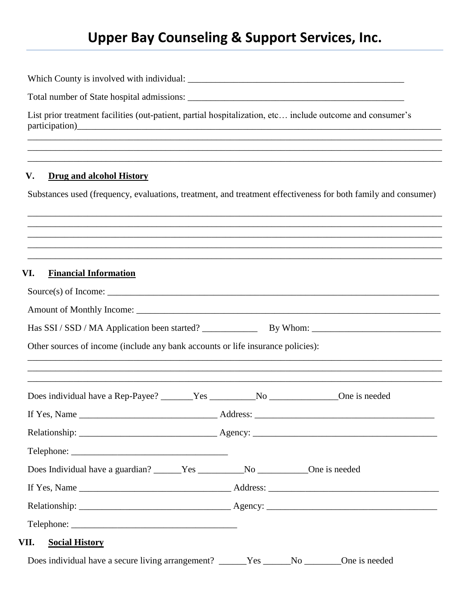List prior treatment facilities (out-patient, partial hospitalization, etc... include outcome and consumer's participation)<br>
<u>exparticipation</u>

#### $\mathbf{V}$ . **Drug and alcohol History**

Substances used (frequency, evaluations, treatment, and treatment effectiveness for both family and consumer)

#### **Financial Information** VI.

| Other sources of income (include any bank accounts or life insurance policies):           |  |
|-------------------------------------------------------------------------------------------|--|
| ,我们也不能在这里的时候,我们也不能在这里的时候,我们也不能不能不能不能不能不能不能不能不能不能不能不能不能不能不能。""我们,我们也不能不能不能不能不能不能不能         |  |
| Does individual have a Rep-Payee? _______Yes ____________No ________________One is needed |  |
|                                                                                           |  |
|                                                                                           |  |
|                                                                                           |  |
| Telephone:                                                                                |  |
| Does Individual have a guardian? ______Yes ____________No ____________One is needed       |  |
|                                                                                           |  |
|                                                                                           |  |
|                                                                                           |  |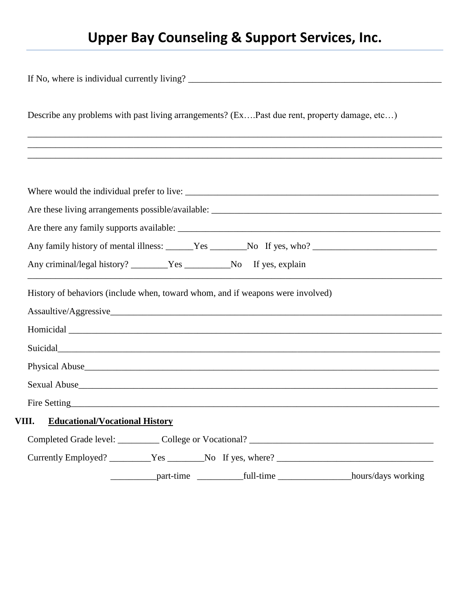|       | Describe any problems with past living arrangements? (ExPast due rent, property damage, etc)                                                                                                                                         |
|-------|--------------------------------------------------------------------------------------------------------------------------------------------------------------------------------------------------------------------------------------|
|       |                                                                                                                                                                                                                                      |
|       |                                                                                                                                                                                                                                      |
|       |                                                                                                                                                                                                                                      |
|       |                                                                                                                                                                                                                                      |
|       |                                                                                                                                                                                                                                      |
|       | Any criminal/legal history? _______Yes ____________No If yes, explain                                                                                                                                                                |
|       | History of behaviors (include when, toward whom, and if weapons were involved)                                                                                                                                                       |
|       |                                                                                                                                                                                                                                      |
|       |                                                                                                                                                                                                                                      |
|       | Suicidal <b>Exercise Contract Contract Contract Contract Contract Contract Contract Contract Contract Contract Contract Contract Contract Contract Contract Contract Contract Contract Contract Contract Contract Contract Contr</b> |
|       | Physical Abuse <b>Executive Contract Abuse Contract Abuse Contract Abuse Contract Abuse Contract Abuse Contract Abuse Contract Abuse Contract Abuse Contract Abuse Contract Abuse Contract Abuse Contract </b>                       |
|       | Sexual Abuse <u>example and the second control of the second control of the second control of the second control of</u>                                                                                                              |
|       |                                                                                                                                                                                                                                      |
| VIII. | Fire Setting <u>Contains and the Setting Contains and the Setting Contains and the Setting Contains and the Setting Contains and the Setting Contains and the Setting Contains and the Setting Contains and the Setting Contains</u> |
|       | <b>Educational/Vocational History</b>                                                                                                                                                                                                |
|       |                                                                                                                                                                                                                                      |
|       |                                                                                                                                                                                                                                      |
|       | _______________part-time _______________full-time ________________________hours/days working                                                                                                                                         |